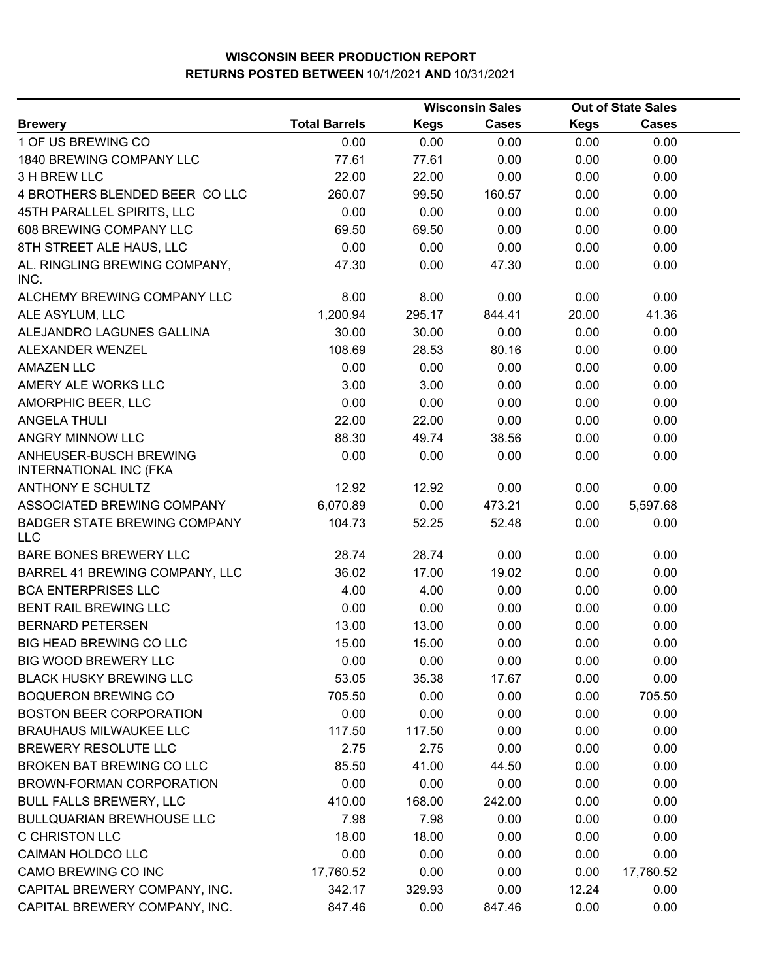|                                                         |                      |             | <b>Wisconsin Sales</b> | <b>Out of State Sales</b> |              |  |
|---------------------------------------------------------|----------------------|-------------|------------------------|---------------------------|--------------|--|
| <b>Brewery</b>                                          | <b>Total Barrels</b> | <b>Kegs</b> | <b>Cases</b>           | <b>Kegs</b>               | <b>Cases</b> |  |
| 1 OF US BREWING CO                                      | 0.00                 | 0.00        | 0.00                   | 0.00                      | 0.00         |  |
| 1840 BREWING COMPANY LLC                                | 77.61                | 77.61       | 0.00                   | 0.00                      | 0.00         |  |
| 3 H BREW LLC                                            | 22.00                | 22.00       | 0.00                   | 0.00                      | 0.00         |  |
| 4 BROTHERS BLENDED BEER CO LLC                          | 260.07               | 99.50       | 160.57                 | 0.00                      | 0.00         |  |
| 45TH PARALLEL SPIRITS, LLC                              | 0.00                 | 0.00        | 0.00                   | 0.00                      | 0.00         |  |
| 608 BREWING COMPANY LLC                                 | 69.50                | 69.50       | 0.00                   | 0.00                      | 0.00         |  |
| 8TH STREET ALE HAUS, LLC                                | 0.00                 | 0.00        | 0.00                   | 0.00                      | 0.00         |  |
| AL. RINGLING BREWING COMPANY,<br>INC.                   | 47.30                | 0.00        | 47.30                  | 0.00                      | 0.00         |  |
| ALCHEMY BREWING COMPANY LLC                             | 8.00                 | 8.00        | 0.00                   | 0.00                      | 0.00         |  |
| ALE ASYLUM, LLC                                         | 1,200.94             | 295.17      | 844.41                 | 20.00                     | 41.36        |  |
| ALEJANDRO LAGUNES GALLINA                               | 30.00                | 30.00       | 0.00                   | 0.00                      | 0.00         |  |
| ALEXANDER WENZEL                                        | 108.69               | 28.53       | 80.16                  | 0.00                      | 0.00         |  |
| <b>AMAZEN LLC</b>                                       | 0.00                 | 0.00        | 0.00                   | 0.00                      | 0.00         |  |
| AMERY ALE WORKS LLC                                     | 3.00                 | 3.00        | 0.00                   | 0.00                      | 0.00         |  |
| AMORPHIC BEER, LLC                                      | 0.00                 | 0.00        | 0.00                   | 0.00                      | 0.00         |  |
| <b>ANGELA THULI</b>                                     | 22.00                | 22.00       | 0.00                   | 0.00                      | 0.00         |  |
| ANGRY MINNOW LLC                                        | 88.30                | 49.74       | 38.56                  | 0.00                      | 0.00         |  |
| ANHEUSER-BUSCH BREWING<br><b>INTERNATIONAL INC (FKA</b> | 0.00                 | 0.00        | 0.00                   | 0.00                      | 0.00         |  |
| <b>ANTHONY E SCHULTZ</b>                                | 12.92                | 12.92       | 0.00                   | 0.00                      | 0.00         |  |
| ASSOCIATED BREWING COMPANY                              | 6,070.89             | 0.00        | 473.21                 | 0.00                      | 5,597.68     |  |
| <b>BADGER STATE BREWING COMPANY</b><br><b>LLC</b>       | 104.73               | 52.25       | 52.48                  | 0.00                      | 0.00         |  |
| BARE BONES BREWERY LLC                                  | 28.74                | 28.74       | 0.00                   | 0.00                      | 0.00         |  |
| BARREL 41 BREWING COMPANY, LLC                          | 36.02                | 17.00       | 19.02                  | 0.00                      | 0.00         |  |
| <b>BCA ENTERPRISES LLC</b>                              | 4.00                 | 4.00        | 0.00                   | 0.00                      | 0.00         |  |
| BENT RAIL BREWING LLC                                   | 0.00                 | 0.00        | 0.00                   | 0.00                      | 0.00         |  |
| <b>BERNARD PETERSEN</b>                                 | 13.00                | 13.00       | 0.00                   | 0.00                      | 0.00         |  |
| BIG HEAD BREWING CO LLC                                 | 15.00                | 15.00       | 0.00                   | 0.00                      | 0.00         |  |
| <b>BIG WOOD BREWERY LLC</b>                             | 0.00                 | 0.00        | 0.00                   | 0.00                      | 0.00         |  |
| <b>BLACK HUSKY BREWING LLC</b>                          | 53.05                | 35.38       | 17.67                  | 0.00                      | 0.00         |  |
| <b>BOQUERON BREWING CO</b>                              | 705.50               | 0.00        | 0.00                   | 0.00                      | 705.50       |  |
| <b>BOSTON BEER CORPORATION</b>                          | 0.00                 | 0.00        | 0.00                   | 0.00                      | 0.00         |  |
| <b>BRAUHAUS MILWAUKEE LLC</b>                           | 117.50               | 117.50      | 0.00                   | 0.00                      | 0.00         |  |
| <b>BREWERY RESOLUTE LLC</b>                             | 2.75                 | 2.75        | 0.00                   | 0.00                      | 0.00         |  |
| BROKEN BAT BREWING CO LLC                               | 85.50                | 41.00       | 44.50                  | 0.00                      | 0.00         |  |
| <b>BROWN-FORMAN CORPORATION</b>                         | 0.00                 | 0.00        | 0.00                   | 0.00                      | 0.00         |  |
| <b>BULL FALLS BREWERY, LLC</b>                          | 410.00               | 168.00      | 242.00                 | 0.00                      | 0.00         |  |
| <b>BULLQUARIAN BREWHOUSE LLC</b>                        | 7.98                 | 7.98        | 0.00                   | 0.00                      | 0.00         |  |
| <b>C CHRISTON LLC</b>                                   | 18.00                | 18.00       | 0.00                   | 0.00                      | 0.00         |  |
| CAIMAN HOLDCO LLC                                       | 0.00                 | 0.00        | 0.00                   | 0.00                      | 0.00         |  |
| CAMO BREWING CO INC                                     | 17,760.52            | 0.00        | 0.00                   | 0.00                      | 17,760.52    |  |
| CAPITAL BREWERY COMPANY, INC.                           | 342.17               | 329.93      | 0.00                   | 12.24                     | 0.00         |  |
| CAPITAL BREWERY COMPANY, INC.                           | 847.46               | 0.00        | 847.46                 | 0.00                      | 0.00         |  |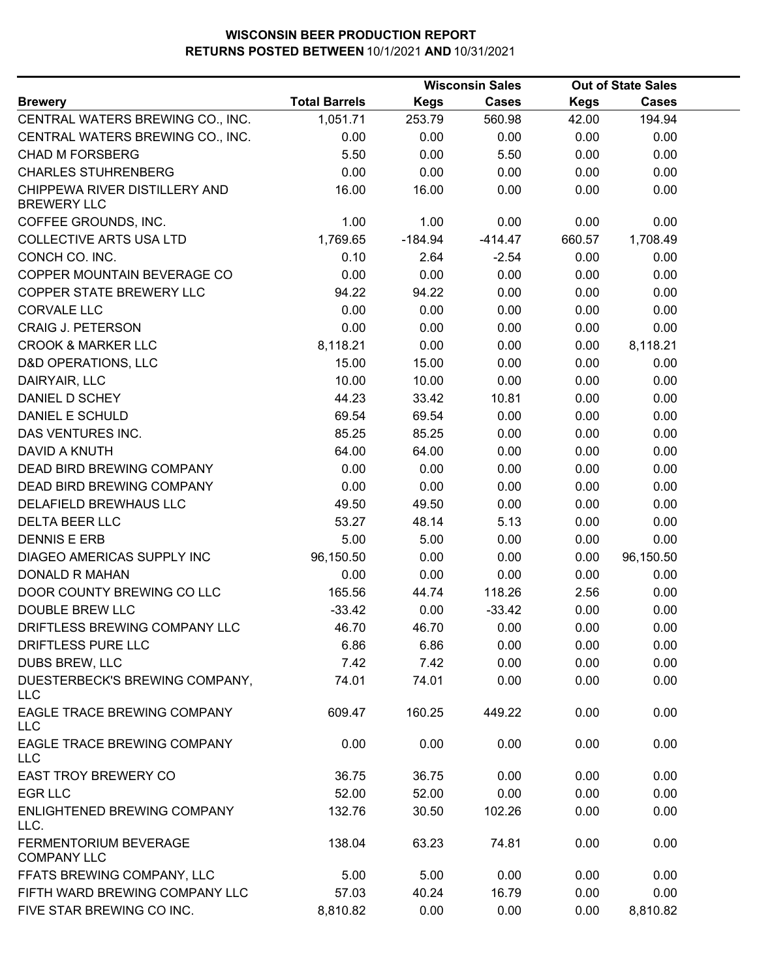|                                                     |                      |             | <b>Wisconsin Sales</b> | <b>Out of State Sales</b> |              |  |
|-----------------------------------------------------|----------------------|-------------|------------------------|---------------------------|--------------|--|
| <b>Brewery</b>                                      | <b>Total Barrels</b> | <b>Kegs</b> | <b>Cases</b>           | <b>Kegs</b>               | <b>Cases</b> |  |
| CENTRAL WATERS BREWING CO., INC.                    | 1,051.71             | 253.79      | 560.98                 | 42.00                     | 194.94       |  |
| CENTRAL WATERS BREWING CO., INC.                    | 0.00                 | 0.00        | 0.00                   | 0.00                      | 0.00         |  |
| <b>CHAD M FORSBERG</b>                              | 5.50                 | 0.00        | 5.50                   | 0.00                      | 0.00         |  |
| <b>CHARLES STUHRENBERG</b>                          | 0.00                 | 0.00        | 0.00                   | 0.00                      | 0.00         |  |
| CHIPPEWA RIVER DISTILLERY AND<br><b>BREWERY LLC</b> | 16.00                | 16.00       | 0.00                   | 0.00                      | 0.00         |  |
| COFFEE GROUNDS, INC.                                | 1.00                 | 1.00        | 0.00                   | 0.00                      | 0.00         |  |
| <b>COLLECTIVE ARTS USA LTD</b>                      | 1,769.65             | $-184.94$   | $-414.47$              | 660.57                    | 1,708.49     |  |
| CONCH CO. INC.                                      | 0.10                 | 2.64        | $-2.54$                | 0.00                      | 0.00         |  |
| COPPER MOUNTAIN BEVERAGE CO                         | 0.00                 | 0.00        | 0.00                   | 0.00                      | 0.00         |  |
| COPPER STATE BREWERY LLC                            | 94.22                | 94.22       | 0.00                   | 0.00                      | 0.00         |  |
| <b>CORVALE LLC</b>                                  | 0.00                 | 0.00        | 0.00                   | 0.00                      | 0.00         |  |
| <b>CRAIG J. PETERSON</b>                            | 0.00                 | 0.00        | 0.00                   | 0.00                      | 0.00         |  |
| <b>CROOK &amp; MARKER LLC</b>                       | 8,118.21             | 0.00        | 0.00                   | 0.00                      | 8,118.21     |  |
| <b>D&amp;D OPERATIONS, LLC</b>                      | 15.00                | 15.00       | 0.00                   | 0.00                      | 0.00         |  |
| DAIRYAIR, LLC                                       | 10.00                | 10.00       | 0.00                   | 0.00                      | 0.00         |  |
| DANIEL D SCHEY                                      | 44.23                | 33.42       | 10.81                  | 0.00                      | 0.00         |  |
| <b>DANIEL E SCHULD</b>                              | 69.54                | 69.54       | 0.00                   | 0.00                      | 0.00         |  |
| DAS VENTURES INC.                                   | 85.25                | 85.25       | 0.00                   | 0.00                      | 0.00         |  |
| <b>DAVID A KNUTH</b>                                | 64.00                | 64.00       | 0.00                   | 0.00                      | 0.00         |  |
| DEAD BIRD BREWING COMPANY                           | 0.00                 | 0.00        | 0.00                   | 0.00                      | 0.00         |  |
| DEAD BIRD BREWING COMPANY                           | 0.00                 | 0.00        | 0.00                   | 0.00                      | 0.00         |  |
| DELAFIELD BREWHAUS LLC                              | 49.50                | 49.50       | 0.00                   | 0.00                      | 0.00         |  |
| <b>DELTA BEER LLC</b>                               | 53.27                | 48.14       | 5.13                   | 0.00                      | 0.00         |  |
| <b>DENNIS E ERB</b>                                 | 5.00                 | 5.00        | 0.00                   | 0.00                      | 0.00         |  |
| DIAGEO AMERICAS SUPPLY INC                          | 96,150.50            | 0.00        | 0.00                   | 0.00                      | 96,150.50    |  |
| <b>DONALD R MAHAN</b>                               | 0.00                 | 0.00        | 0.00                   | 0.00                      | 0.00         |  |
| DOOR COUNTY BREWING CO LLC                          | 165.56               | 44.74       | 118.26                 | 2.56                      | 0.00         |  |
| <b>DOUBLE BREW LLC</b>                              | $-33.42$             | 0.00        | $-33.42$               | 0.00                      | 0.00         |  |
| DRIFTLESS BREWING COMPANY LLC                       | 46.70                | 46.70       | 0.00                   | 0.00                      | 0.00         |  |
| DRIFTLESS PURE LLC                                  | 6.86                 | 6.86        | 0.00                   | 0.00                      | 0.00         |  |
| <b>DUBS BREW, LLC</b>                               | 7.42                 | 7.42        | 0.00                   | 0.00                      | 0.00         |  |
| DUESTERBECK'S BREWING COMPANY,<br><b>LLC</b>        | 74.01                | 74.01       | 0.00                   | 0.00                      | 0.00         |  |
| EAGLE TRACE BREWING COMPANY<br><b>LLC</b>           | 609.47               | 160.25      | 449.22                 | 0.00                      | 0.00         |  |
| EAGLE TRACE BREWING COMPANY<br><b>LLC</b>           | 0.00                 | 0.00        | 0.00                   | 0.00                      | 0.00         |  |
| <b>EAST TROY BREWERY CO</b>                         | 36.75                | 36.75       | 0.00                   | 0.00                      | 0.00         |  |
| <b>EGR LLC</b>                                      | 52.00                | 52.00       | 0.00                   | 0.00                      | 0.00         |  |
| ENLIGHTENED BREWING COMPANY<br>LLC.                 | 132.76               | 30.50       | 102.26                 | 0.00                      | 0.00         |  |
| <b>FERMENTORIUM BEVERAGE</b><br><b>COMPANY LLC</b>  | 138.04               | 63.23       | 74.81                  | 0.00                      | 0.00         |  |
| FFATS BREWING COMPANY, LLC                          | 5.00                 | 5.00        | 0.00                   | 0.00                      | 0.00         |  |
| FIFTH WARD BREWING COMPANY LLC                      | 57.03                | 40.24       | 16.79                  | 0.00                      | 0.00         |  |
| FIVE STAR BREWING CO INC.                           | 8,810.82             | 0.00        | 0.00                   | 0.00                      | 8,810.82     |  |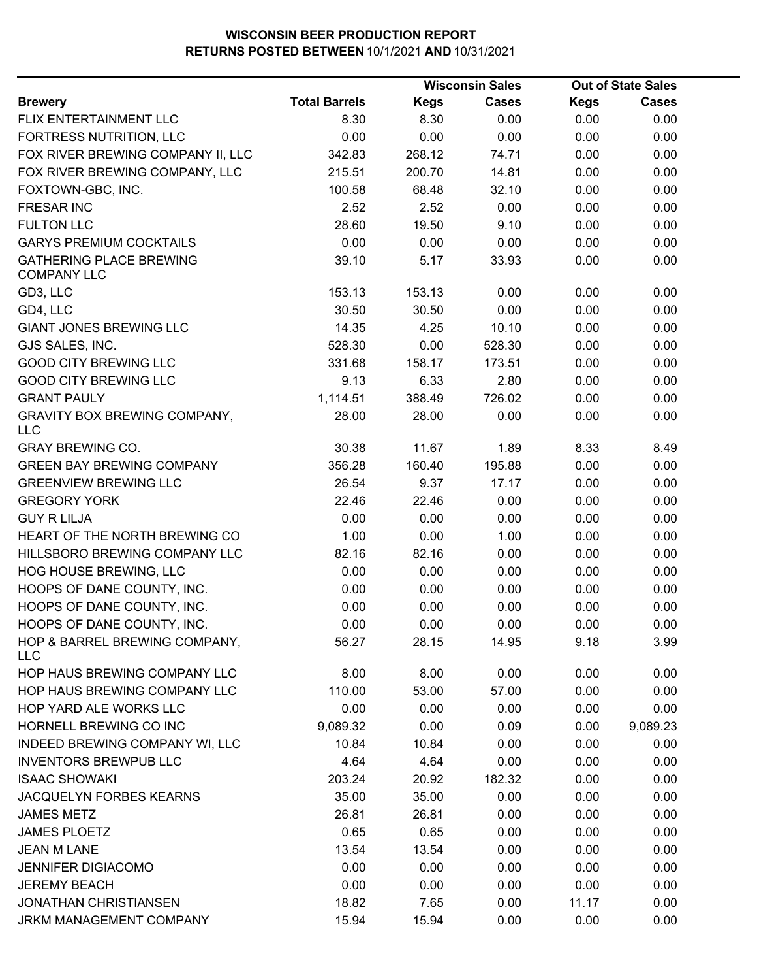|                                                      |                      |             | <b>Wisconsin Sales</b> |             | <b>Out of State Sales</b> |  |
|------------------------------------------------------|----------------------|-------------|------------------------|-------------|---------------------------|--|
| <b>Brewery</b>                                       | <b>Total Barrels</b> | <b>Kegs</b> | <b>Cases</b>           | <b>Kegs</b> | <b>Cases</b>              |  |
| FLIX ENTERTAINMENT LLC                               | 8.30                 | 8.30        | 0.00                   | 0.00        | 0.00                      |  |
| FORTRESS NUTRITION, LLC                              | 0.00                 | 0.00        | 0.00                   | 0.00        | 0.00                      |  |
| FOX RIVER BREWING COMPANY II, LLC                    | 342.83               | 268.12      | 74.71                  | 0.00        | 0.00                      |  |
| FOX RIVER BREWING COMPANY, LLC                       | 215.51               | 200.70      | 14.81                  | 0.00        | 0.00                      |  |
| FOXTOWN-GBC, INC.                                    | 100.58               | 68.48       | 32.10                  | 0.00        | 0.00                      |  |
| <b>FRESAR INC</b>                                    | 2.52                 | 2.52        | 0.00                   | 0.00        | 0.00                      |  |
| <b>FULTON LLC</b>                                    | 28.60                | 19.50       | 9.10                   | 0.00        | 0.00                      |  |
| <b>GARYS PREMIUM COCKTAILS</b>                       | 0.00                 | 0.00        | 0.00                   | 0.00        | 0.00                      |  |
| <b>GATHERING PLACE BREWING</b><br><b>COMPANY LLC</b> | 39.10                | 5.17        | 33.93                  | 0.00        | 0.00                      |  |
| GD3, LLC                                             | 153.13               | 153.13      | 0.00                   | 0.00        | 0.00                      |  |
| GD4, LLC                                             | 30.50                | 30.50       | 0.00                   | 0.00        | 0.00                      |  |
| <b>GIANT JONES BREWING LLC</b>                       | 14.35                | 4.25        | 10.10                  | 0.00        | 0.00                      |  |
| GJS SALES, INC.                                      | 528.30               | 0.00        | 528.30                 | 0.00        | 0.00                      |  |
| <b>GOOD CITY BREWING LLC</b>                         | 331.68               | 158.17      | 173.51                 | 0.00        | 0.00                      |  |
| <b>GOOD CITY BREWING LLC</b>                         | 9.13                 | 6.33        | 2.80                   | 0.00        | 0.00                      |  |
| <b>GRANT PAULY</b>                                   | 1,114.51             | 388.49      | 726.02                 | 0.00        | 0.00                      |  |
| <b>GRAVITY BOX BREWING COMPANY,</b><br><b>LLC</b>    | 28.00                | 28.00       | 0.00                   | 0.00        | 0.00                      |  |
| <b>GRAY BREWING CO.</b>                              | 30.38                | 11.67       | 1.89                   | 8.33        | 8.49                      |  |
| <b>GREEN BAY BREWING COMPANY</b>                     | 356.28               | 160.40      | 195.88                 | 0.00        | 0.00                      |  |
| <b>GREENVIEW BREWING LLC</b>                         | 26.54                | 9.37        | 17.17                  | 0.00        | 0.00                      |  |
| <b>GREGORY YORK</b>                                  | 22.46                | 22.46       | 0.00                   | 0.00        | 0.00                      |  |
| <b>GUY R LILJA</b>                                   | 0.00                 | 0.00        | 0.00                   | 0.00        | 0.00                      |  |
| HEART OF THE NORTH BREWING CO                        | 1.00                 | 0.00        | 1.00                   | 0.00        | 0.00                      |  |
| HILLSBORO BREWING COMPANY LLC                        | 82.16                | 82.16       | 0.00                   | 0.00        | 0.00                      |  |
| HOG HOUSE BREWING, LLC                               | 0.00                 | 0.00        | 0.00                   | 0.00        | 0.00                      |  |
| HOOPS OF DANE COUNTY, INC.                           | 0.00                 | 0.00        | 0.00                   | 0.00        | 0.00                      |  |
| HOOPS OF DANE COUNTY, INC.                           | 0.00                 | 0.00        | 0.00                   | 0.00        | 0.00                      |  |
| HOOPS OF DANE COUNTY, INC.                           | 0.00                 | 0.00        | 0.00                   | 0.00        | 0.00                      |  |
| HOP & BARREL BREWING COMPANY,<br><b>LLC</b>          | 56.27                | 28.15       | 14.95                  | 9.18        | 3.99                      |  |
| HOP HAUS BREWING COMPANY LLC                         | 8.00                 | 8.00        | 0.00                   | 0.00        | 0.00                      |  |
| HOP HAUS BREWING COMPANY LLC                         | 110.00               | 53.00       | 57.00                  | 0.00        | 0.00                      |  |
| HOP YARD ALE WORKS LLC                               | 0.00                 | 0.00        | 0.00                   | 0.00        | 0.00                      |  |
| HORNELL BREWING CO INC                               | 9,089.32             | 0.00        | 0.09                   | 0.00        | 9,089.23                  |  |
| INDEED BREWING COMPANY WI, LLC                       | 10.84                | 10.84       | 0.00                   | 0.00        | 0.00                      |  |
| <b>INVENTORS BREWPUB LLC</b>                         | 4.64                 | 4.64        | 0.00                   | 0.00        | 0.00                      |  |
| <b>ISAAC SHOWAKI</b>                                 | 203.24               | 20.92       | 182.32                 | 0.00        | 0.00                      |  |
| JACQUELYN FORBES KEARNS                              | 35.00                | 35.00       | 0.00                   | 0.00        | 0.00                      |  |
| <b>JAMES METZ</b>                                    | 26.81                | 26.81       | 0.00                   | 0.00        | 0.00                      |  |
| <b>JAMES PLOETZ</b>                                  | 0.65                 | 0.65        | 0.00                   | 0.00        | 0.00                      |  |
| <b>JEAN M LANE</b>                                   | 13.54                | 13.54       | 0.00                   | 0.00        | 0.00                      |  |
| <b>JENNIFER DIGIACOMO</b>                            | 0.00                 | 0.00        | 0.00                   | 0.00        | 0.00                      |  |
| <b>JEREMY BEACH</b>                                  | 0.00                 | 0.00        | 0.00                   | 0.00        | 0.00                      |  |
| <b>JONATHAN CHRISTIANSEN</b>                         | 18.82                | 7.65        | 0.00                   | 11.17       | 0.00                      |  |
| JRKM MANAGEMENT COMPANY                              | 15.94                | 15.94       | 0.00                   | 0.00        | 0.00                      |  |
|                                                      |                      |             |                        |             |                           |  |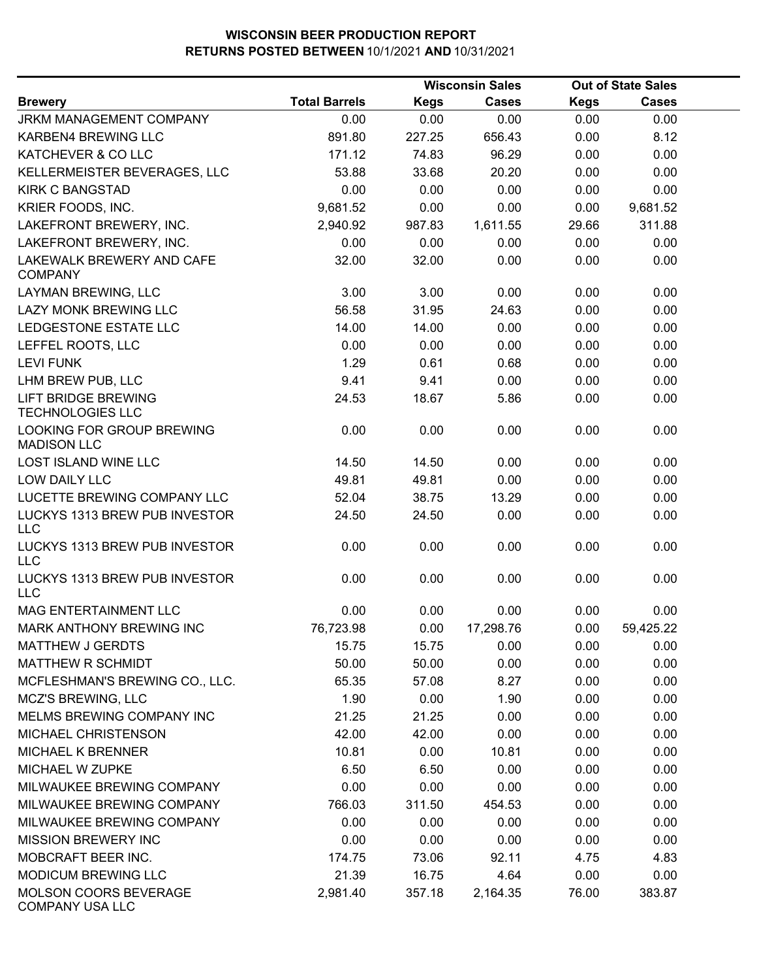|                                                       |                      |             | <b>Wisconsin Sales</b> |             | <b>Out of State Sales</b> |  |
|-------------------------------------------------------|----------------------|-------------|------------------------|-------------|---------------------------|--|
| <b>Brewery</b>                                        | <b>Total Barrels</b> | <b>Kegs</b> | <b>Cases</b>           | <b>Kegs</b> | <b>Cases</b>              |  |
| <b>JRKM MANAGEMENT COMPANY</b>                        | 0.00                 | 0.00        | 0.00                   | 0.00        | 0.00                      |  |
| KARBEN4 BREWING LLC                                   | 891.80               | 227.25      | 656.43                 | 0.00        | 8.12                      |  |
| KATCHEVER & CO LLC                                    | 171.12               | 74.83       | 96.29                  | 0.00        | 0.00                      |  |
| KELLERMEISTER BEVERAGES, LLC                          | 53.88                | 33.68       | 20.20                  | 0.00        | 0.00                      |  |
| <b>KIRK C BANGSTAD</b>                                | 0.00                 | 0.00        | 0.00                   | 0.00        | 0.00                      |  |
| KRIER FOODS, INC.                                     | 9,681.52             | 0.00        | 0.00                   | 0.00        | 9,681.52                  |  |
| LAKEFRONT BREWERY, INC.                               | 2,940.92             | 987.83      | 1,611.55               | 29.66       | 311.88                    |  |
| LAKEFRONT BREWERY, INC.                               | 0.00                 | 0.00        | 0.00                   | 0.00        | 0.00                      |  |
| LAKEWALK BREWERY AND CAFE<br><b>COMPANY</b>           | 32.00                | 32.00       | 0.00                   | 0.00        | 0.00                      |  |
| LAYMAN BREWING, LLC                                   | 3.00                 | 3.00        | 0.00                   | 0.00        | 0.00                      |  |
| LAZY MONK BREWING LLC                                 | 56.58                | 31.95       | 24.63                  | 0.00        | 0.00                      |  |
| LEDGESTONE ESTATE LLC                                 | 14.00                | 14.00       | 0.00                   | 0.00        | 0.00                      |  |
| LEFFEL ROOTS, LLC                                     | 0.00                 | 0.00        | 0.00                   | 0.00        | 0.00                      |  |
| <b>LEVI FUNK</b>                                      | 1.29                 | 0.61        | 0.68                   | 0.00        | 0.00                      |  |
| LHM BREW PUB, LLC                                     | 9.41                 | 9.41        | 0.00                   | 0.00        | 0.00                      |  |
| <b>LIFT BRIDGE BREWING</b><br><b>TECHNOLOGIES LLC</b> | 24.53                | 18.67       | 5.86                   | 0.00        | 0.00                      |  |
| LOOKING FOR GROUP BREWING<br><b>MADISON LLC</b>       | 0.00                 | 0.00        | 0.00                   | 0.00        | 0.00                      |  |
| LOST ISLAND WINE LLC                                  | 14.50                | 14.50       | 0.00                   | 0.00        | 0.00                      |  |
| LOW DAILY LLC                                         | 49.81                | 49.81       | 0.00                   | 0.00        | 0.00                      |  |
| LUCETTE BREWING COMPANY LLC                           | 52.04                | 38.75       | 13.29                  | 0.00        | 0.00                      |  |
| LUCKYS 1313 BREW PUB INVESTOR<br><b>LLC</b>           | 24.50                | 24.50       | 0.00                   | 0.00        | 0.00                      |  |
| LUCKYS 1313 BREW PUB INVESTOR<br><b>LLC</b>           | 0.00                 | 0.00        | 0.00                   | 0.00        | 0.00                      |  |
| LUCKYS 1313 BREW PUB INVESTOR<br><b>LLC</b>           | 0.00                 | 0.00        | 0.00                   | 0.00        | 0.00                      |  |
| MAG ENTERTAINMENT LLC                                 | 0.00                 | 0.00        | 0.00                   | 0.00        | 0.00                      |  |
| MARK ANTHONY BREWING INC                              | 76,723.98            | 0.00        | 17,298.76              | 0.00        | 59,425.22                 |  |
| <b>MATTHEW J GERDTS</b>                               | 15.75                | 15.75       | 0.00                   | 0.00        | 0.00                      |  |
| <b>MATTHEW R SCHMIDT</b>                              | 50.00                | 50.00       | 0.00                   | 0.00        | 0.00                      |  |
| MCFLESHMAN'S BREWING CO., LLC.                        | 65.35                | 57.08       | 8.27                   | 0.00        | 0.00                      |  |
| MCZ'S BREWING, LLC                                    | 1.90                 | 0.00        | 1.90                   | 0.00        | 0.00                      |  |
| MELMS BREWING COMPANY INC                             | 21.25                | 21.25       | 0.00                   | 0.00        | 0.00                      |  |
| <b>MICHAEL CHRISTENSON</b>                            | 42.00                | 42.00       | 0.00                   | 0.00        | 0.00                      |  |
| <b>MICHAEL K BRENNER</b>                              | 10.81                | 0.00        | 10.81                  | 0.00        | 0.00                      |  |
| MICHAEL W ZUPKE                                       | 6.50                 | 6.50        | 0.00                   | 0.00        | 0.00                      |  |
| MILWAUKEE BREWING COMPANY                             | 0.00                 | 0.00        | 0.00                   | 0.00        | 0.00                      |  |
| MILWAUKEE BREWING COMPANY                             | 766.03               | 311.50      | 454.53                 | 0.00        | 0.00                      |  |
| MILWAUKEE BREWING COMPANY                             | 0.00                 | 0.00        | 0.00                   | 0.00        | 0.00                      |  |
| <b>MISSION BREWERY INC</b>                            | 0.00                 | 0.00        | 0.00                   | 0.00        | 0.00                      |  |
| MOBCRAFT BEER INC.                                    | 174.75               | 73.06       | 92.11                  | 4.75        | 4.83                      |  |
| MODICUM BREWING LLC                                   | 21.39                | 16.75       | 4.64                   | 0.00        | 0.00                      |  |
| MOLSON COORS BEVERAGE<br><b>COMPANY USA LLC</b>       | 2,981.40             | 357.18      | 2,164.35               | 76.00       | 383.87                    |  |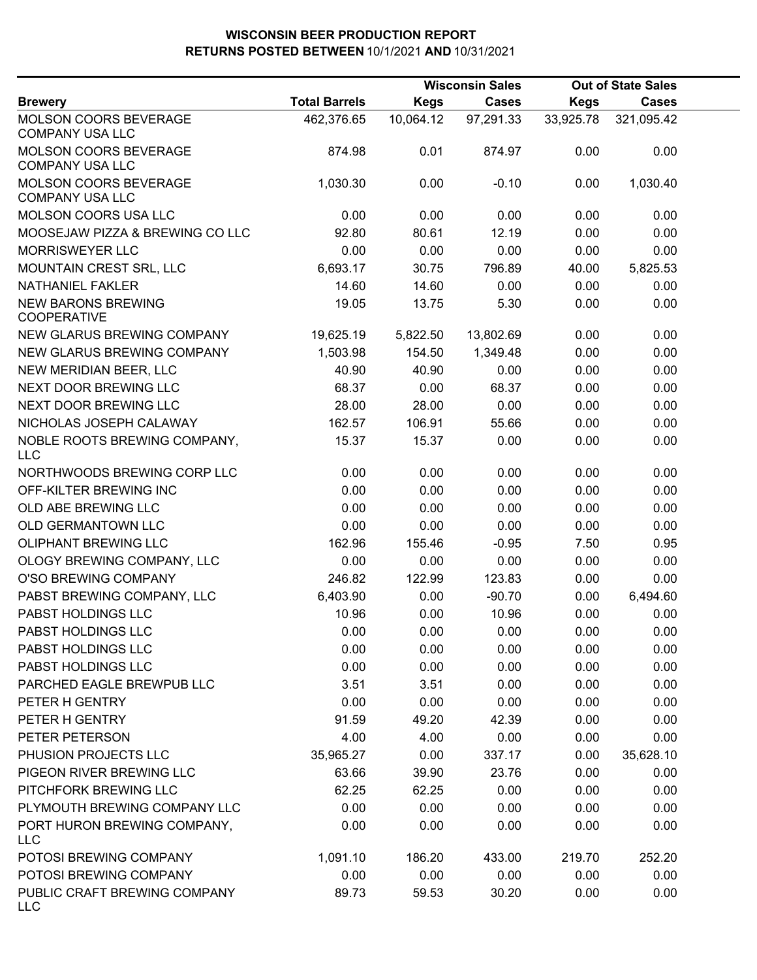|                                                        |                      |             | <b>Wisconsin Sales</b> |             | <b>Out of State Sales</b> |  |
|--------------------------------------------------------|----------------------|-------------|------------------------|-------------|---------------------------|--|
| <b>Brewery</b>                                         | <b>Total Barrels</b> | <b>Kegs</b> | <b>Cases</b>           | <b>Kegs</b> | <b>Cases</b>              |  |
| MOLSON COORS BEVERAGE<br><b>COMPANY USA LLC</b>        | 462,376.65           | 10,064.12   | 97,291.33              | 33,925.78   | 321,095.42                |  |
| <b>MOLSON COORS BEVERAGE</b><br><b>COMPANY USA LLC</b> | 874.98               | 0.01        | 874.97                 | 0.00        | 0.00                      |  |
| MOLSON COORS BEVERAGE<br><b>COMPANY USA LLC</b>        | 1,030.30             | 0.00        | $-0.10$                | 0.00        | 1,030.40                  |  |
| MOLSON COORS USA LLC                                   | 0.00                 | 0.00        | 0.00                   | 0.00        | 0.00                      |  |
| MOOSEJAW PIZZA & BREWING CO LLC                        | 92.80                | 80.61       | 12.19                  | 0.00        | 0.00                      |  |
| <b>MORRISWEYER LLC</b>                                 | 0.00                 | 0.00        | 0.00                   | 0.00        | 0.00                      |  |
| MOUNTAIN CREST SRL, LLC                                | 6,693.17             | 30.75       | 796.89                 | 40.00       | 5,825.53                  |  |
| <b>NATHANIEL FAKLER</b>                                | 14.60                | 14.60       | 0.00                   | 0.00        | 0.00                      |  |
| <b>NEW BARONS BREWING</b><br><b>COOPERATIVE</b>        | 19.05                | 13.75       | 5.30                   | 0.00        | 0.00                      |  |
| NEW GLARUS BREWING COMPANY                             | 19,625.19            | 5,822.50    | 13,802.69              | 0.00        | 0.00                      |  |
| NEW GLARUS BREWING COMPANY                             | 1,503.98             | 154.50      | 1,349.48               | 0.00        | 0.00                      |  |
| NEW MERIDIAN BEER, LLC                                 | 40.90                | 40.90       | 0.00                   | 0.00        | 0.00                      |  |
| NEXT DOOR BREWING LLC                                  | 68.37                | 0.00        | 68.37                  | 0.00        | 0.00                      |  |
| NEXT DOOR BREWING LLC                                  | 28.00                | 28.00       | 0.00                   | 0.00        | 0.00                      |  |
| NICHOLAS JOSEPH CALAWAY                                | 162.57               | 106.91      | 55.66                  | 0.00        | 0.00                      |  |
| NOBLE ROOTS BREWING COMPANY,<br><b>LLC</b>             | 15.37                | 15.37       | 0.00                   | 0.00        | 0.00                      |  |
| NORTHWOODS BREWING CORP LLC                            | 0.00                 | 0.00        | 0.00                   | 0.00        | 0.00                      |  |
| OFF-KILTER BREWING INC                                 | 0.00                 | 0.00        | 0.00                   | 0.00        | 0.00                      |  |
| OLD ABE BREWING LLC                                    | 0.00                 | 0.00        | 0.00                   | 0.00        | 0.00                      |  |
| OLD GERMANTOWN LLC                                     | 0.00                 | 0.00        | 0.00                   | 0.00        | 0.00                      |  |
| OLIPHANT BREWING LLC                                   | 162.96               | 155.46      | $-0.95$                | 7.50        | 0.95                      |  |
| OLOGY BREWING COMPANY, LLC                             | 0.00                 | 0.00        | 0.00                   | 0.00        | 0.00                      |  |
| O'SO BREWING COMPANY                                   | 246.82               | 122.99      | 123.83                 | 0.00        | 0.00                      |  |
| PABST BREWING COMPANY, LLC                             | 6,403.90             | 0.00        | $-90.70$               | 0.00        | 6,494.60                  |  |
| PABST HOLDINGS LLC                                     | 10.96                | 0.00        | 10.96                  | 0.00        | 0.00                      |  |
| PABST HOLDINGS LLC                                     | 0.00                 | 0.00        | 0.00                   | 0.00        | 0.00                      |  |
| PABST HOLDINGS LLC                                     | 0.00                 | 0.00        | 0.00                   | 0.00        | 0.00                      |  |
| PABST HOLDINGS LLC                                     | 0.00                 | 0.00        | 0.00                   | 0.00        | 0.00                      |  |
| PARCHED EAGLE BREWPUB LLC                              | 3.51                 | 3.51        | 0.00                   | 0.00        | 0.00                      |  |
| PETER H GENTRY                                         | 0.00                 | 0.00        | 0.00                   | 0.00        | 0.00                      |  |
| PETER H GENTRY                                         | 91.59                | 49.20       | 42.39                  | 0.00        | 0.00                      |  |
| PETER PETERSON                                         | 4.00                 | 4.00        | 0.00                   | 0.00        | 0.00                      |  |
| PHUSION PROJECTS LLC                                   | 35,965.27            | 0.00        | 337.17                 | 0.00        | 35,628.10                 |  |
| PIGEON RIVER BREWING LLC                               | 63.66                | 39.90       | 23.76                  | 0.00        | 0.00                      |  |
| PITCHFORK BREWING LLC                                  | 62.25                | 62.25       | 0.00                   | 0.00        | 0.00                      |  |
| PLYMOUTH BREWING COMPANY LLC                           | 0.00                 | 0.00        | 0.00                   | 0.00        | 0.00                      |  |
| PORT HURON BREWING COMPANY,<br><b>LLC</b>              | 0.00                 | 0.00        | 0.00                   | 0.00        | 0.00                      |  |
| POTOSI BREWING COMPANY                                 | 1,091.10             | 186.20      | 433.00                 | 219.70      | 252.20                    |  |
| POTOSI BREWING COMPANY                                 | 0.00                 | 0.00        | 0.00                   | 0.00        | 0.00                      |  |
| PUBLIC CRAFT BREWING COMPANY<br><b>LLC</b>             | 89.73                | 59.53       | 30.20                  | 0.00        | 0.00                      |  |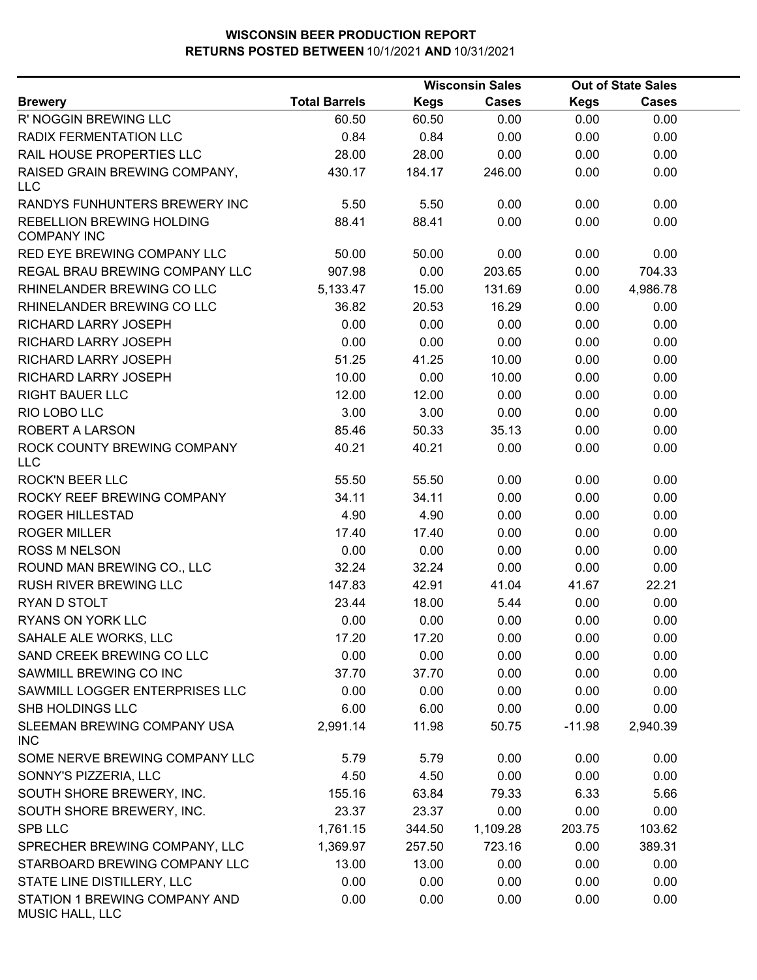|                                                  |                      | <b>Wisconsin Sales</b> |              | <b>Out of State Sales</b> |              |  |
|--------------------------------------------------|----------------------|------------------------|--------------|---------------------------|--------------|--|
| <b>Brewery</b>                                   | <b>Total Barrels</b> | <b>Kegs</b>            | <b>Cases</b> | Kegs                      | <b>Cases</b> |  |
| R' NOGGIN BREWING LLC                            | 60.50                | 60.50                  | 0.00         | 0.00                      | 0.00         |  |
| RADIX FERMENTATION LLC                           | 0.84                 | 0.84                   | 0.00         | 0.00                      | 0.00         |  |
| RAIL HOUSE PROPERTIES LLC                        | 28.00                | 28.00                  | 0.00         | 0.00                      | 0.00         |  |
| RAISED GRAIN BREWING COMPANY,<br><b>LLC</b>      | 430.17               | 184.17                 | 246.00       | 0.00                      | 0.00         |  |
| RANDYS FUNHUNTERS BREWERY INC                    | 5.50                 | 5.50                   | 0.00         | 0.00                      | 0.00         |  |
| REBELLION BREWING HOLDING<br><b>COMPANY INC</b>  | 88.41                | 88.41                  | 0.00         | 0.00                      | 0.00         |  |
| RED EYE BREWING COMPANY LLC                      | 50.00                | 50.00                  | 0.00         | 0.00                      | 0.00         |  |
| REGAL BRAU BREWING COMPANY LLC                   | 907.98               | 0.00                   | 203.65       | 0.00                      | 704.33       |  |
| RHINELANDER BREWING CO LLC                       | 5,133.47             | 15.00                  | 131.69       | 0.00                      | 4,986.78     |  |
| RHINELANDER BREWING CO LLC                       | 36.82                | 20.53                  | 16.29        | 0.00                      | 0.00         |  |
| RICHARD LARRY JOSEPH                             | 0.00                 | 0.00                   | 0.00         | 0.00                      | 0.00         |  |
| RICHARD LARRY JOSEPH                             | 0.00                 | 0.00                   | 0.00         | 0.00                      | 0.00         |  |
| RICHARD LARRY JOSEPH                             | 51.25                | 41.25                  | 10.00        | 0.00                      | 0.00         |  |
| RICHARD LARRY JOSEPH                             | 10.00                | 0.00                   | 10.00        | 0.00                      | 0.00         |  |
| <b>RIGHT BAUER LLC</b>                           | 12.00                | 12.00                  | 0.00         | 0.00                      | 0.00         |  |
| RIO LOBO LLC                                     | 3.00                 | 3.00                   | 0.00         | 0.00                      | 0.00         |  |
| ROBERT A LARSON                                  | 85.46                | 50.33                  | 35.13        | 0.00                      | 0.00         |  |
| ROCK COUNTY BREWING COMPANY<br>LLC               | 40.21                | 40.21                  | 0.00         | 0.00                      | 0.00         |  |
| ROCK'N BEER LLC                                  | 55.50                | 55.50                  | 0.00         | 0.00                      | 0.00         |  |
| ROCKY REEF BREWING COMPANY                       | 34.11                | 34.11                  | 0.00         | 0.00                      | 0.00         |  |
| ROGER HILLESTAD                                  | 4.90                 | 4.90                   | 0.00         | 0.00                      | 0.00         |  |
| <b>ROGER MILLER</b>                              | 17.40                | 17.40                  | 0.00         | 0.00                      | 0.00         |  |
| <b>ROSS M NELSON</b>                             | 0.00                 | 0.00                   | 0.00         | 0.00                      | 0.00         |  |
| ROUND MAN BREWING CO., LLC                       | 32.24                | 32.24                  | 0.00         | 0.00                      | 0.00         |  |
| RUSH RIVER BREWING LLC                           | 147.83               | 42.91                  | 41.04        | 41.67                     | 22.21        |  |
| RYAN D STOLT                                     | 23.44                | 18.00                  | 5.44         | 0.00                      | 0.00         |  |
| <b>RYANS ON YORK LLC</b>                         | 0.00                 | 0.00                   | 0.00         | 0.00                      | 0.00         |  |
| SAHALE ALE WORKS, LLC                            | 17.20                | 17.20                  | 0.00         | 0.00                      | 0.00         |  |
| SAND CREEK BREWING CO LLC                        | 0.00                 | 0.00                   | 0.00         | 0.00                      | 0.00         |  |
| SAWMILL BREWING CO INC                           | 37.70                | 37.70                  | 0.00         | 0.00                      | 0.00         |  |
| SAWMILL LOGGER ENTERPRISES LLC                   | 0.00                 | 0.00                   | 0.00         | 0.00                      | 0.00         |  |
| SHB HOLDINGS LLC                                 | 6.00                 | 6.00                   | 0.00         | 0.00                      | 0.00         |  |
| SLEEMAN BREWING COMPANY USA<br><b>INC</b>        | 2,991.14             | 11.98                  | 50.75        | $-11.98$                  | 2,940.39     |  |
| SOME NERVE BREWING COMPANY LLC                   | 5.79                 | 5.79                   | 0.00         | 0.00                      | 0.00         |  |
| SONNY'S PIZZERIA, LLC                            | 4.50                 | 4.50                   | 0.00         | 0.00                      | 0.00         |  |
| SOUTH SHORE BREWERY, INC.                        | 155.16               | 63.84                  | 79.33        | 6.33                      | 5.66         |  |
| SOUTH SHORE BREWERY, INC.                        | 23.37                | 23.37                  | 0.00         | 0.00                      | 0.00         |  |
| SPB LLC                                          | 1,761.15             | 344.50                 | 1,109.28     | 203.75                    | 103.62       |  |
| SPRECHER BREWING COMPANY, LLC                    | 1,369.97             | 257.50                 | 723.16       | 0.00                      | 389.31       |  |
| STARBOARD BREWING COMPANY LLC                    | 13.00                | 13.00                  | 0.00         | 0.00                      | 0.00         |  |
| STATE LINE DISTILLERY, LLC                       | 0.00                 | 0.00                   | 0.00         | 0.00                      | 0.00         |  |
| STATION 1 BREWING COMPANY AND<br>MUSIC HALL, LLC | 0.00                 | 0.00                   | 0.00         | 0.00                      | 0.00         |  |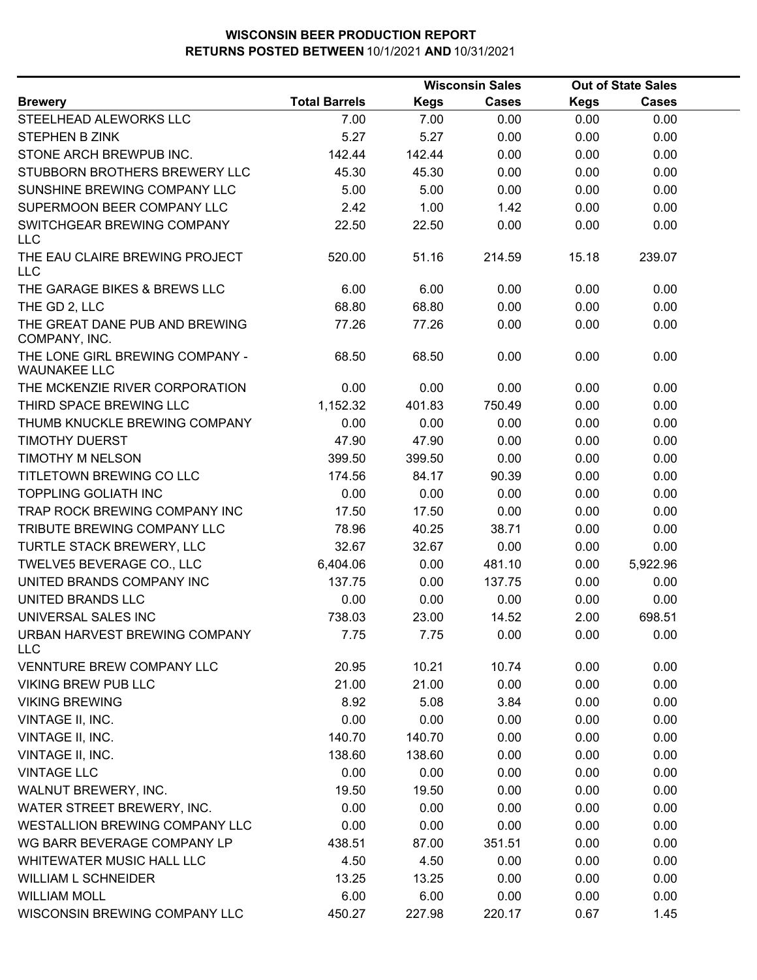|                                                        |                      |             | <b>Wisconsin Sales</b> |             | <b>Out of State Sales</b> |  |
|--------------------------------------------------------|----------------------|-------------|------------------------|-------------|---------------------------|--|
| <b>Brewery</b>                                         | <b>Total Barrels</b> | <b>Kegs</b> | <b>Cases</b>           | <b>Kegs</b> | <b>Cases</b>              |  |
| STEELHEAD ALEWORKS LLC                                 | 7.00                 | 7.00        | 0.00                   | 0.00        | 0.00                      |  |
| <b>STEPHEN B ZINK</b>                                  | 5.27                 | 5.27        | 0.00                   | 0.00        | 0.00                      |  |
| STONE ARCH BREWPUB INC.                                | 142.44               | 142.44      | 0.00                   | 0.00        | 0.00                      |  |
| STUBBORN BROTHERS BREWERY LLC                          | 45.30                | 45.30       | 0.00                   | 0.00        | 0.00                      |  |
| SUNSHINE BREWING COMPANY LLC                           | 5.00                 | 5.00        | 0.00                   | 0.00        | 0.00                      |  |
| SUPERMOON BEER COMPANY LLC                             | 2.42                 | 1.00        | 1.42                   | 0.00        | 0.00                      |  |
| SWITCHGEAR BREWING COMPANY<br><b>LLC</b>               | 22.50                | 22.50       | 0.00                   | 0.00        | 0.00                      |  |
| THE EAU CLAIRE BREWING PROJECT<br><b>LLC</b>           | 520.00               | 51.16       | 214.59                 | 15.18       | 239.07                    |  |
| THE GARAGE BIKES & BREWS LLC                           | 6.00                 | 6.00        | 0.00                   | 0.00        | 0.00                      |  |
| THE GD 2, LLC                                          | 68.80                | 68.80       | 0.00                   | 0.00        | 0.00                      |  |
| THE GREAT DANE PUB AND BREWING<br>COMPANY, INC.        | 77.26                | 77.26       | 0.00                   | 0.00        | 0.00                      |  |
| THE LONE GIRL BREWING COMPANY -<br><b>WAUNAKEE LLC</b> | 68.50                | 68.50       | 0.00                   | 0.00        | 0.00                      |  |
| THE MCKENZIE RIVER CORPORATION                         | 0.00                 | 0.00        | 0.00                   | 0.00        | 0.00                      |  |
| THIRD SPACE BREWING LLC                                | 1,152.32             | 401.83      | 750.49                 | 0.00        | 0.00                      |  |
| THUMB KNUCKLE BREWING COMPANY                          | 0.00                 | 0.00        | 0.00                   | 0.00        | 0.00                      |  |
| <b>TIMOTHY DUERST</b>                                  | 47.90                | 47.90       | 0.00                   | 0.00        | 0.00                      |  |
| TIMOTHY M NELSON                                       | 399.50               | 399.50      | 0.00                   | 0.00        | 0.00                      |  |
| TITLETOWN BREWING CO LLC                               | 174.56               | 84.17       | 90.39                  | 0.00        | 0.00                      |  |
| <b>TOPPLING GOLIATH INC</b>                            | 0.00                 | 0.00        | 0.00                   | 0.00        | 0.00                      |  |
| TRAP ROCK BREWING COMPANY INC                          | 17.50                | 17.50       | 0.00                   | 0.00        | 0.00                      |  |
| TRIBUTE BREWING COMPANY LLC                            | 78.96                | 40.25       | 38.71                  | 0.00        | 0.00                      |  |
| TURTLE STACK BREWERY, LLC                              | 32.67                | 32.67       | 0.00                   | 0.00        | 0.00                      |  |
| TWELVE5 BEVERAGE CO., LLC                              | 6,404.06             | 0.00        | 481.10                 | 0.00        | 5,922.96                  |  |
| UNITED BRANDS COMPANY INC                              | 137.75               | 0.00        | 137.75                 | 0.00        | 0.00                      |  |
| UNITED BRANDS LLC                                      | 0.00                 | 0.00        | 0.00                   | 0.00        | 0.00                      |  |
| UNIVERSAL SALES INC                                    | 738.03               | 23.00       | 14.52                  | 2.00        | 698.51                    |  |
| URBAN HARVEST BREWING COMPANY<br><b>LLC</b>            | 7.75                 | 7.75        | 0.00                   | 0.00        | 0.00                      |  |
| <b>VENNTURE BREW COMPANY LLC</b>                       | 20.95                | 10.21       | 10.74                  | 0.00        | 0.00                      |  |
| <b>VIKING BREW PUB LLC</b>                             | 21.00                | 21.00       | 0.00                   | 0.00        | 0.00                      |  |
| <b>VIKING BREWING</b>                                  | 8.92                 | 5.08        | 3.84                   | 0.00        | 0.00                      |  |
| VINTAGE II, INC.                                       | 0.00                 | 0.00        | 0.00                   | 0.00        | 0.00                      |  |
| VINTAGE II, INC.                                       | 140.70               | 140.70      | 0.00                   | 0.00        | 0.00                      |  |
| VINTAGE II, INC.                                       | 138.60               | 138.60      | 0.00                   | 0.00        | 0.00                      |  |
| <b>VINTAGE LLC</b>                                     | 0.00                 | 0.00        | 0.00                   | 0.00        | 0.00                      |  |
| WALNUT BREWERY, INC.                                   | 19.50                | 19.50       | 0.00                   | 0.00        | 0.00                      |  |
| WATER STREET BREWERY, INC.                             | 0.00                 | 0.00        | 0.00                   | 0.00        | 0.00                      |  |
| WESTALLION BREWING COMPANY LLC                         | 0.00                 | 0.00        | 0.00                   | 0.00        | 0.00                      |  |
| WG BARR BEVERAGE COMPANY LP                            | 438.51               | 87.00       | 351.51                 | 0.00        | 0.00                      |  |
| WHITEWATER MUSIC HALL LLC                              | 4.50                 | 4.50        | 0.00                   | 0.00        | 0.00                      |  |
| <b>WILLIAM L SCHNEIDER</b>                             | 13.25                | 13.25       | 0.00                   | 0.00        | 0.00                      |  |
| <b>WILLIAM MOLL</b>                                    | 6.00                 | 6.00        | 0.00                   | 0.00        | 0.00                      |  |
| WISCONSIN BREWING COMPANY LLC                          | 450.27               | 227.98      | 220.17                 | 0.67        | 1.45                      |  |